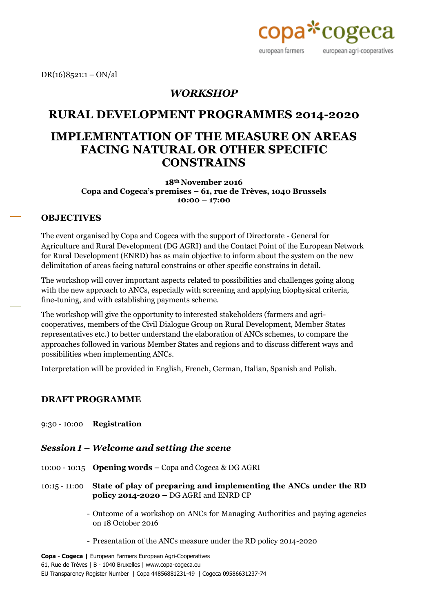

 $DR(16)8521:1 - ON/al$ 

### *WORKSHOP*

### **RURAL DEVELOPMENT PROGRAMMES 2014-2020**

# **IMPLEMENTATION OF THE MEASURE ON AREAS FACING NATURAL OR OTHER SPECIFIC CONSTRAINS**

**18th November 2016 Copa and Cogeca's premises – 61, rue de Trèves, 1040 Brussels 10:00 – 17:00**

#### **OBJECTIVES**

The event organised by Copa and Cogeca with the support of Directorate - General for Agriculture and Rural Development (DG AGRI) and the Contact Point of the European Network for Rural Development (ENRD) has as main objective to inform about the system on the new delimitation of areas facing natural constrains or other specific constrains in detail.

The workshop will cover important aspects related to possibilities and challenges going along with the new approach to ANCs, especially with screening and applying biophysical criteria, fine-tuning, and with establishing payments scheme.

The workshop will give the opportunity to interested stakeholders (farmers and agricooperatives, members of the Civil Dialogue Group on Rural Development, Member States representatives etc.) to better understand the elaboration of ANCs schemes, to compare the approaches followed in various Member States and regions and to discuss different ways and possibilities when implementing ANCs.

Interpretation will be provided in English, French, German, Italian, Spanish and Polish.

#### **DRAFT PROGRAMME**

- 9:30 10:00 **Registration**
- *Session I – Welcome and setting the scene*
- 10:00 10:15 **Opening words** *–* Copa and Cogeca & DG AGRI
- 10:15 11:00 **State of play of preparing and implementing the ANCs under the RD policy 2014-2020 –** DG AGRI and ENRD CP
	- Outcome of a workshop on ANCs for Managing Authorities and paying agencies on 18 October 2016
	- Presentation of the ANCs measure under the RD policy 2014-2020